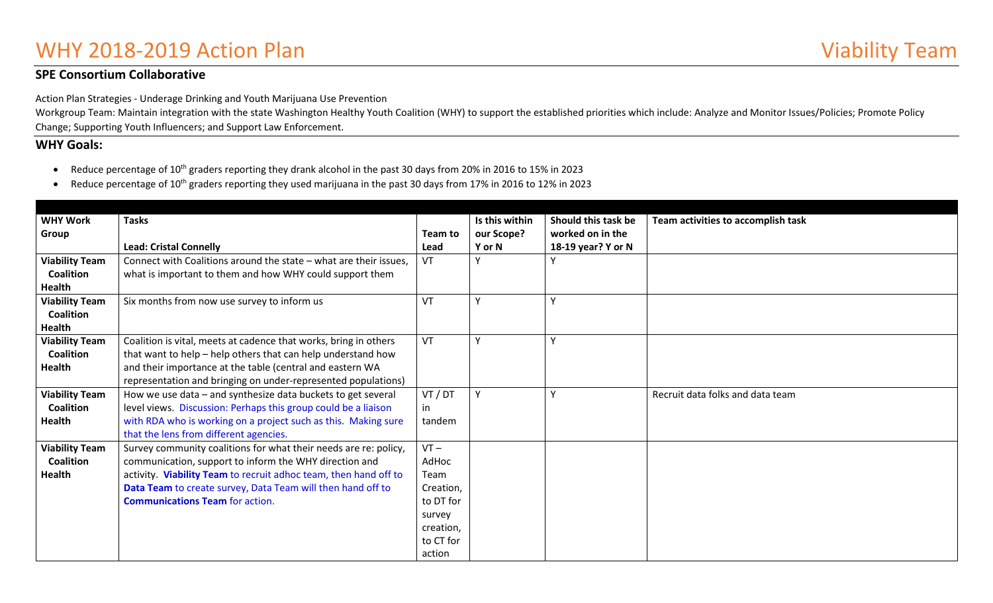# WHY 2018-2019 Action Plan Viability Team

## **SPE Consortium Collaborative**

Action Plan Strategies - Underage Drinking and Youth Marijuana Use Prevention

Workgroup Team: Maintain integration with the state Washington Healthy Youth Coalition (WHY) to support the established priorities which include: Analyze and Monitor Issues/Policies; Promote Policy Change; Supporting Youth Influencers; and Support Law Enforcement.

### **WHY Goals:**

- Reduce percentage of 10<sup>th</sup> graders reporting they drank alcohol in the past 30 days from 20% in 2016 to 15% in 2023
- Reduce percentage of 10<sup>th</sup> graders reporting they used marijuana in the past 30 days from 17% in 2016 to 12% in 2023

| <b>WHY Work</b>       | <b>Tasks</b>                                                      |           | Is this within | Should this task be | Team activities to accomplish task |
|-----------------------|-------------------------------------------------------------------|-----------|----------------|---------------------|------------------------------------|
| Group                 |                                                                   | Team to   | our Scope?     | worked on in the    |                                    |
|                       | <b>Lead: Cristal Connelly</b>                                     | Lead      | Y or N         | 18-19 year? Y or N  |                                    |
| <b>Viability Team</b> | Connect with Coalitions around the state - what are their issues, | VT        |                |                     |                                    |
| <b>Coalition</b>      |                                                                   |           |                |                     |                                    |
|                       | what is important to them and how WHY could support them          |           |                |                     |                                    |
| Health                |                                                                   |           |                |                     |                                    |
| <b>Viability Team</b> | Six months from now use survey to inform us                       | VT        |                | Υ                   |                                    |
| <b>Coalition</b>      |                                                                   |           |                |                     |                                    |
| Health                |                                                                   |           |                |                     |                                    |
| <b>Viability Team</b> | Coalition is vital, meets at cadence that works, bring in others  | VT        | $\mathbf{v}$   | Υ                   |                                    |
| <b>Coalition</b>      | that want to help - help others that can help understand how      |           |                |                     |                                    |
| Health                | and their importance at the table (central and eastern WA         |           |                |                     |                                    |
|                       | representation and bringing on under-represented populations)     |           |                |                     |                                    |
| <b>Viability Team</b> | How we use data - and synthesize data buckets to get several      | VT / DT   |                | Υ                   | Recruit data folks and data team   |
| <b>Coalition</b>      | level views. Discussion: Perhaps this group could be a liaison    | in        |                |                     |                                    |
| <b>Health</b>         | with RDA who is working on a project such as this. Making sure    | tandem    |                |                     |                                    |
|                       | that the lens from different agencies.                            |           |                |                     |                                    |
| <b>Viability Team</b> | Survey community coalitions for what their needs are re: policy,  | $VT -$    |                |                     |                                    |
| <b>Coalition</b>      | communication, support to inform the WHY direction and            | AdHoc     |                |                     |                                    |
| <b>Health</b>         | activity. Viability Team to recruit adhoc team, then hand off to  | Team      |                |                     |                                    |
|                       | Data Team to create survey, Data Team will then hand off to       | Creation, |                |                     |                                    |
|                       | <b>Communications Team for action.</b>                            | to DT for |                |                     |                                    |
|                       |                                                                   | survey    |                |                     |                                    |
|                       |                                                                   | creation, |                |                     |                                    |
|                       |                                                                   | to CT for |                |                     |                                    |
|                       |                                                                   |           |                |                     |                                    |
|                       |                                                                   | action    |                |                     |                                    |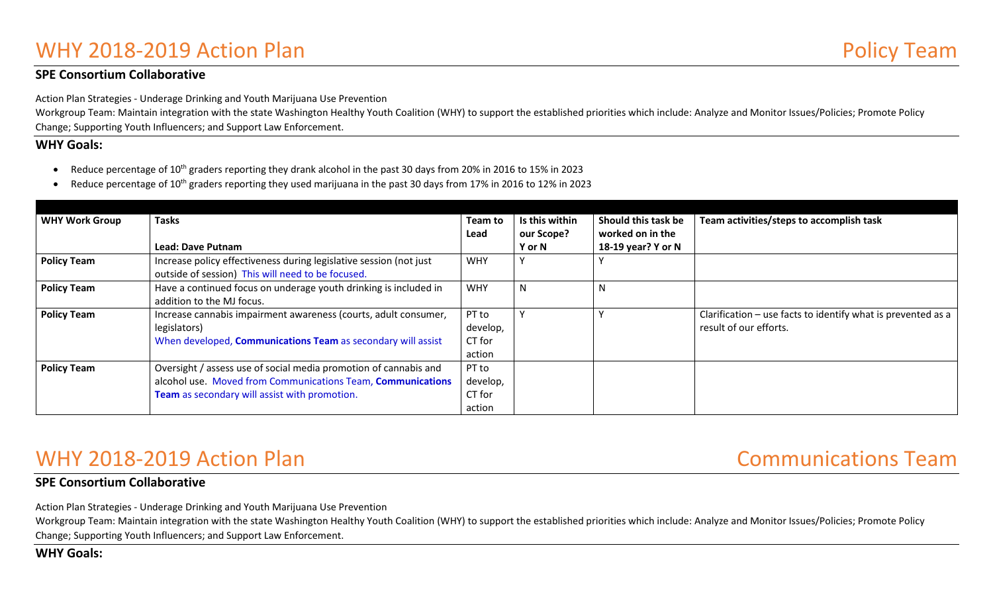# WHY 2018-2019 Action Plan **Policy Team** Policy Team

### **SPE Consortium Collaborative**

Action Plan Strategies - Underage Drinking and Youth Marijuana Use Prevention

Workgroup Team: Maintain integration with the state Washington Healthy Youth Coalition (WHY) to support the established priorities which include: Analyze and Monitor Issues/Policies; Promote Policy Change; Supporting Youth Influencers; and Support Law Enforcement.

### **WHY Goals:**

- Reduce percentage of 10th graders reporting they drank alcohol in the past 30 days from 20% in 2016 to 15% in 2023
- Reduce percentage of 10<sup>th</sup> graders reporting they used marijuana in the past 30 days from 17% in 2016 to 12% in 2023

| <b>WHY Work Group</b> | <b>Tasks</b>                                                                                                                                                                     | Team to                               | Is this within | Should this task be | Team activities/steps to accomplish task                                               |
|-----------------------|----------------------------------------------------------------------------------------------------------------------------------------------------------------------------------|---------------------------------------|----------------|---------------------|----------------------------------------------------------------------------------------|
|                       |                                                                                                                                                                                  | Lead                                  | our Scope?     | worked on in the    |                                                                                        |
|                       | <b>Lead: Dave Putnam</b>                                                                                                                                                         |                                       | Y or N         | 18-19 year? Y or N  |                                                                                        |
| <b>Policy Team</b>    | Increase policy effectiveness during legislative session (not just<br>outside of session) This will need to be focused.                                                          | <b>WHY</b>                            |                |                     |                                                                                        |
| <b>Policy Team</b>    | Have a continued focus on underage youth drinking is included in<br>addition to the MJ focus.                                                                                    | <b>WHY</b>                            |                |                     |                                                                                        |
| <b>Policy Team</b>    | Increase cannabis impairment awareness (courts, adult consumer,<br>legislators)<br>When developed, Communications Team as secondary will assist                                  | PT to<br>develop,<br>CT for<br>action |                |                     | Clarification – use facts to identify what is prevented as a<br>result of our efforts. |
| <b>Policy Team</b>    | Oversight / assess use of social media promotion of cannabis and<br>alcohol use. Moved from Communications Team, Communications<br>Team as secondary will assist with promotion. | PT to<br>develop,<br>CT for<br>action |                |                     |                                                                                        |

## WHY 2018-2019 Action Plan Communications Team

## **SPE Consortium Collaborative**

Action Plan Strategies - Underage Drinking and Youth Marijuana Use Prevention

Workgroup Team: Maintain integration with the state Washington Healthy Youth Coalition (WHY) to support the established priorities which include: Analyze and Monitor Issues/Policies; Promote Policy Change; Supporting Youth Influencers; and Support Law Enforcement.

### **WHY Goals:**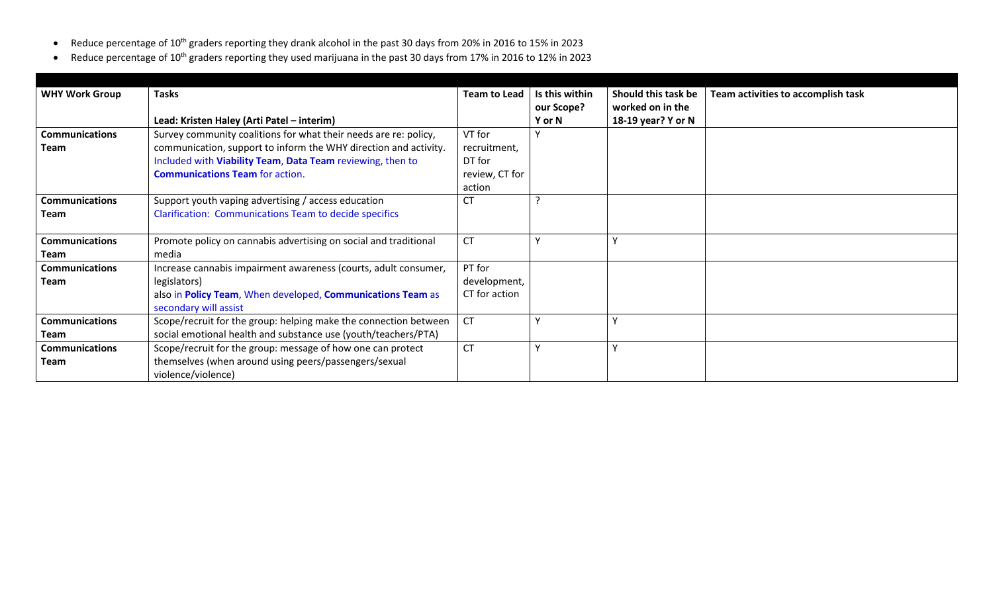- Reduce percentage of 10th graders reporting they drank alcohol in the past 30 days from 20% in 2016 to 15% in 2023
- Reduce percentage of 10th graders reporting they used marijuana in the past 30 days from 17% in 2016 to 12% in 2023

| <b>WHY Work Group</b>         | <b>Tasks</b><br>Lead: Kristen Haley (Arti Patel - interim)                                                                                                                                                                                   | <b>Team to Lead</b>                                          | Is this within<br>our Scope?<br>Y or N | Should this task be<br>worked on in the<br>18-19 year? Y or N | Team activities to accomplish task |
|-------------------------------|----------------------------------------------------------------------------------------------------------------------------------------------------------------------------------------------------------------------------------------------|--------------------------------------------------------------|----------------------------------------|---------------------------------------------------------------|------------------------------------|
| <b>Communications</b><br>Team | Survey community coalitions for what their needs are re: policy,<br>communication, support to inform the WHY direction and activity.<br>Included with Viability Team, Data Team reviewing, then to<br><b>Communications Team for action.</b> | VT for<br>recruitment,<br>DT for<br>review, CT for<br>action |                                        |                                                               |                                    |
| <b>Communications</b><br>Team | Support youth vaping advertising / access education<br><b>Clarification: Communications Team to decide specifics</b>                                                                                                                         | CT                                                           |                                        |                                                               |                                    |
| <b>Communications</b><br>Team | Promote policy on cannabis advertising on social and traditional<br>media                                                                                                                                                                    | <b>CT</b>                                                    |                                        |                                                               |                                    |
| <b>Communications</b><br>Team | Increase cannabis impairment awareness (courts, adult consumer,<br>legislators)<br>also in Policy Team, When developed, Communications Team as<br>secondary will assist                                                                      | PT for<br>development,<br>CT for action                      |                                        |                                                               |                                    |
| <b>Communications</b><br>Team | Scope/recruit for the group: helping make the connection between<br>social emotional health and substance use (youth/teachers/PTA)                                                                                                           | <b>CT</b>                                                    |                                        |                                                               |                                    |
| <b>Communications</b><br>Team | Scope/recruit for the group: message of how one can protect<br>themselves (when around using peers/passengers/sexual<br>violence/violence)                                                                                                   | <b>CT</b>                                                    |                                        |                                                               |                                    |